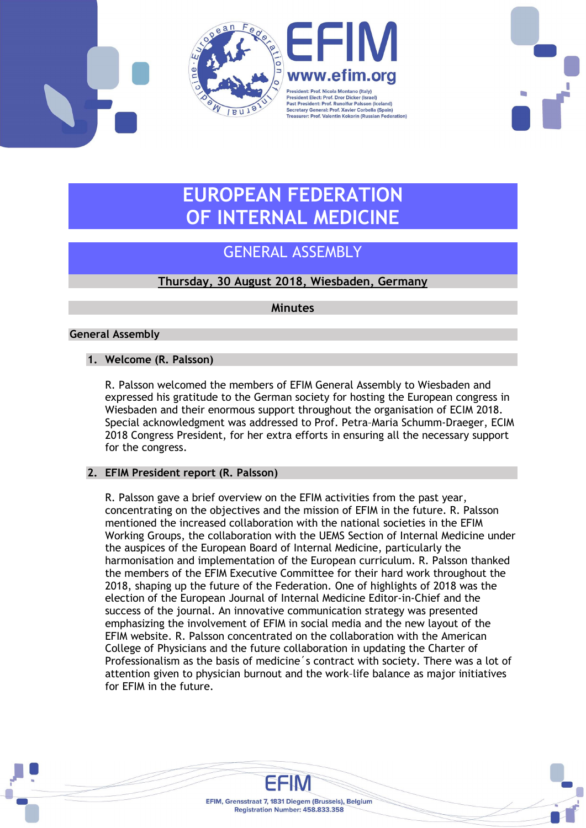



# EUROPEAN FEDERATION OF INTERNAL MEDICINE

## GENERAL ASSEMBLY

## Thursday, 30 August 2018, Wiesbaden, Germany

**Minutes** 

## General Assembly

## 1. Welcome (R. Palsson)

R. Palsson welcomed the members of EFIM General Assembly to Wiesbaden and expressed his gratitude to the German society for hosting the European congress in Wiesbaden and their enormous support throughout the organisation of ECIM 2018. Special acknowledgment was addressed to Prof. Petra–Maria Schumm-Draeger, ECIM 2018 Congress President, for her extra efforts in ensuring all the necessary support for the congress.

## 2. EFIM President report (R. Palsson)

R. Palsson gave a brief overview on the EFIM activities from the past year, concentrating on the objectives and the mission of EFIM in the future. R. Palsson mentioned the increased collaboration with the national societies in the EFIM Working Groups, the collaboration with the UEMS Section of Internal Medicine under the auspices of the European Board of Internal Medicine, particularly the harmonisation and implementation of the European curriculum. R. Palsson thanked the members of the EFIM Executive Committee for their hard work throughout the 2018, shaping up the future of the Federation. One of highlights of 2018 was the election of the European Journal of Internal Medicine Editor-in-Chief and the success of the journal. An innovative communication strategy was presented emphasizing the involvement of EFIM in social media and the new layout of the EFIM website. R. Palsson concentrated on the collaboration with the American College of Physicians and the future collaboration in updating the Charter of Professionalism as the basis of medicine´s contract with society. There was a lot of attention given to physician burnout and the work–life balance as major initiatives for EFIM in the future.

> EFIM, Grensstraat 7, 1831 Diegem (Brussels), Belgium Registration Number: 458.833.358

FEIM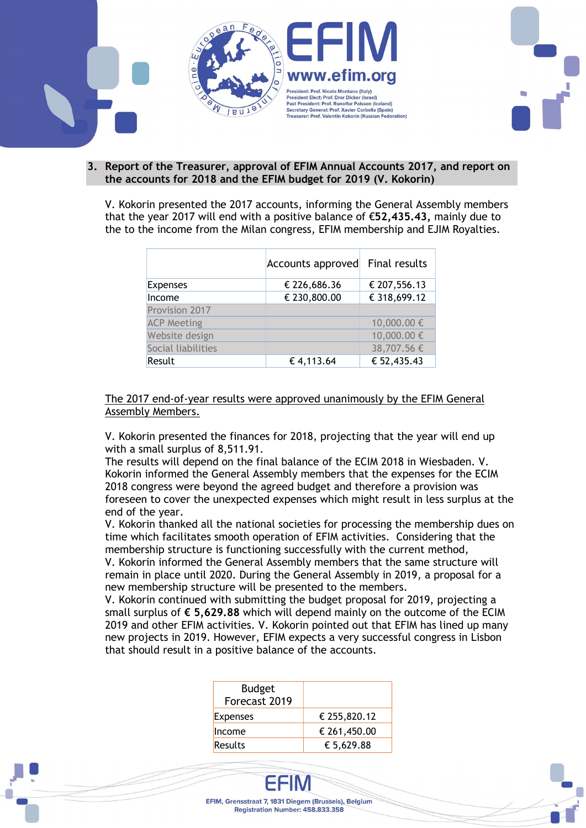

#### 3. Report of the Treasurer, approval of EFIM Annual Accounts 2017, and report on the accounts for 2018 and the EFIM budget for 2019 (V. Kokorin)

V. Kokorin presented the 2017 accounts, informing the General Assembly members that the year 2017 will end with a positive balance of €52,435.43, mainly due to the to the income from the Milan congress, EFIM membership and EJIM Royalties.

|                    | Accounts approved Final results |              |
|--------------------|---------------------------------|--------------|
| <b>Expenses</b>    | € 226,686.36                    | € 207,556.13 |
| Income             | € 230,800.00                    | € 318,699.12 |
| Provision 2017     |                                 |              |
| <b>ACP Meeting</b> |                                 | 10,000.00 €  |
| Website design     |                                 | 10,000.00 €  |
| Social liabilities |                                 | 38,707.56 €  |
| Result             | €4,113.64                       | € 52,435.43  |

### The 2017 end-of-year results were approved unanimously by the EFIM General Assembly Members.

V. Kokorin presented the finances for 2018, projecting that the year will end up with a small surplus of 8,511.91.

The results will depend on the final balance of the ECIM 2018 in Wiesbaden. V. Kokorin informed the General Assembly members that the expenses for the ECIM 2018 congress were beyond the agreed budget and therefore a provision was foreseen to cover the unexpected expenses which might result in less surplus at the end of the year.

V. Kokorin thanked all the national societies for processing the membership dues on time which facilitates smooth operation of EFIM activities. Considering that the membership structure is functioning successfully with the current method, V. Kokorin informed the General Assembly members that the same structure will remain in place until 2020. During the General Assembly in 2019, a proposal for a new membership structure will be presented to the members.

V. Kokorin continued with submitting the budget proposal for 2019, projecting a small surplus of  $\epsilon$  5,629.88 which will depend mainly on the outcome of the ECIM 2019 and other EFIM activities. V. Kokorin pointed out that EFIM has lined up many new projects in 2019. However, EFIM expects a very successful congress in Lisbon that should result in a positive balance of the accounts.

| <b>Budget</b><br>Forecast 2019 |              |
|--------------------------------|--------------|
| Expenses                       | € 255,820.12 |
| Income                         | € 261,450.00 |
| Results                        | € 5,629.88   |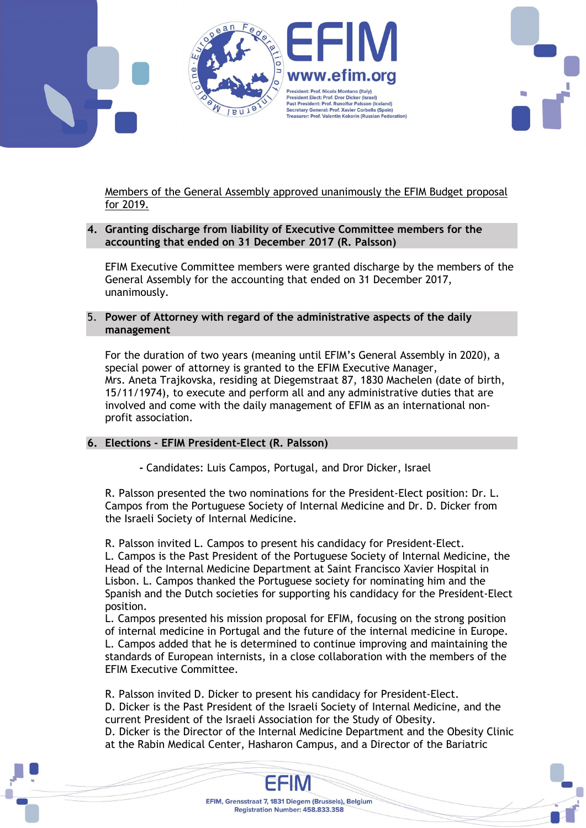



Members of the General Assembly approved unanimously the EFIM Budget proposal for 2019.

## 4. Granting discharge from liability of Executive Committee members for the accounting that ended on 31 December 2017 (R. Palsson)

EFIM Executive Committee members were granted discharge by the members of the General Assembly for the accounting that ended on 31 December 2017, unanimously.

5. Power of Attorney with regard of the administrative aspects of the daily management

For the duration of two years (meaning until EFIM's General Assembly in 2020), a special power of attorney is granted to the EFIM Executive Manager, Mrs. Aneta Trajkovska, residing at Diegemstraat 87, 1830 Machelen (date of birth, 15/11/1974), to execute and perform all and any administrative duties that are involved and come with the daily management of EFIM as an international nonprofit association.

## 6. Elections - EFIM President-Elect (R. Palsson)

- Candidates: Luis Campos, Portugal, and Dror Dicker, Israel

R. Palsson presented the two nominations for the President-Elect position: Dr. L. Campos from the Portuguese Society of Internal Medicine and Dr. D. Dicker from the Israeli Society of Internal Medicine.

R. Palsson invited L. Campos to present his candidacy for President-Elect. L. Campos is the Past President of the Portuguese Society of Internal Medicine, the Head of the Internal Medicine Department at Saint Francisco Xavier Hospital in Lisbon. L. Campos thanked the Portuguese society for nominating him and the Spanish and the Dutch societies for supporting his candidacy for the President-Elect position.

L. Campos presented his mission proposal for EFIM, focusing on the strong position of internal medicine in Portugal and the future of the internal medicine in Europe. L. Campos added that he is determined to continue improving and maintaining the standards of European internists, in a close collaboration with the members of the EFIM Executive Committee.

R. Palsson invited D. Dicker to present his candidacy for President-Elect. D. Dicker is the Past President of the Israeli Society of Internal Medicine, and the current President of the Israeli Association for the Study of Obesity.

D. Dicker is the Director of the Internal Medicine Department and the Obesity Clinic at the Rabin Medical Center, Hasharon Campus, and a Director of the Bariatric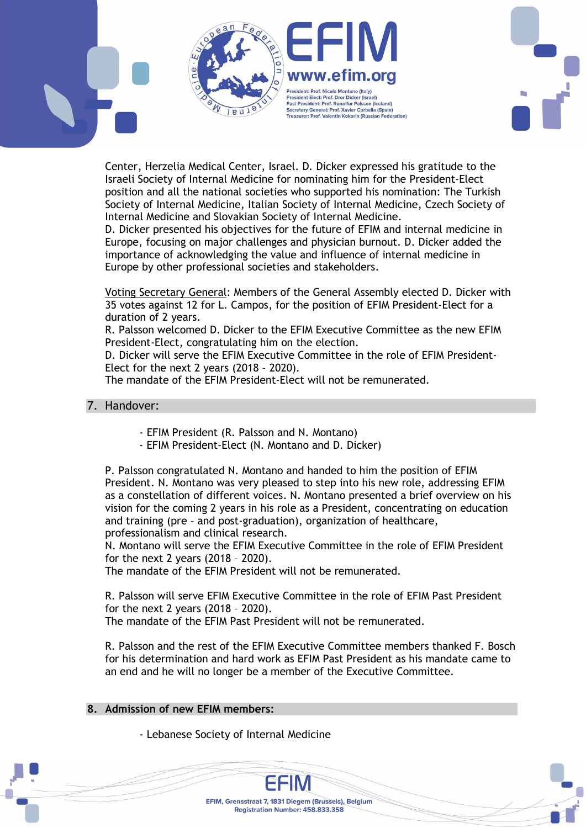



D. Dicker presented his objectives for the future of EFIM and internal medicine in Europe, focusing on major challenges and physician burnout. D. Dicker added the importance of acknowledging the value and influence of internal medicine in Europe by other professional societies and stakeholders.

Voting Secretary General: Members of the General Assembly elected D. Dicker with 35 votes against 12 for L. Campos, for the position of EFIM President-Elect for a duration of 2 years.

R. Palsson welcomed D. Dicker to the EFIM Executive Committee as the new EFIM President-Elect, congratulating him on the election.

D. Dicker will serve the EFIM Executive Committee in the role of EFIM President-Elect for the next 2 years (2018 – 2020).

The mandate of the EFIM President-Elect will not be remunerated.

## 7. Handover:

- EFIM President (R. Palsson and N. Montano)
- EFIM President-Elect (N. Montano and D. Dicker)

P. Palsson congratulated N. Montano and handed to him the position of EFIM President. N. Montano was very pleased to step into his new role, addressing EFIM as a constellation of different voices. N. Montano presented a brief overview on his vision for the coming 2 years in his role as a President, concentrating on education and training (pre – and post-graduation), organization of healthcare, professionalism and clinical research.

N. Montano will serve the EFIM Executive Committee in the role of EFIM President for the next 2 years (2018 – 2020).

The mandate of the EFIM President will not be remunerated.

R. Palsson will serve EFIM Executive Committee in the role of EFIM Past President for the next 2 years (2018 – 2020). The mandate of the EFIM Past President will not be remunerated.

R. Palsson and the rest of the EFIM Executive Committee members thanked F. Bosch for his determination and hard work as EFIM Past President as his mandate came to an end and he will no longer be a member of the Executive Committee.

> EFIM, Grensstraat 7, 1831 Diegem (Brussels), Belgium Registration Number: 458.833.358

#### 8. Admission of new EFIM members:

- Lebanese Society of Internal Medicine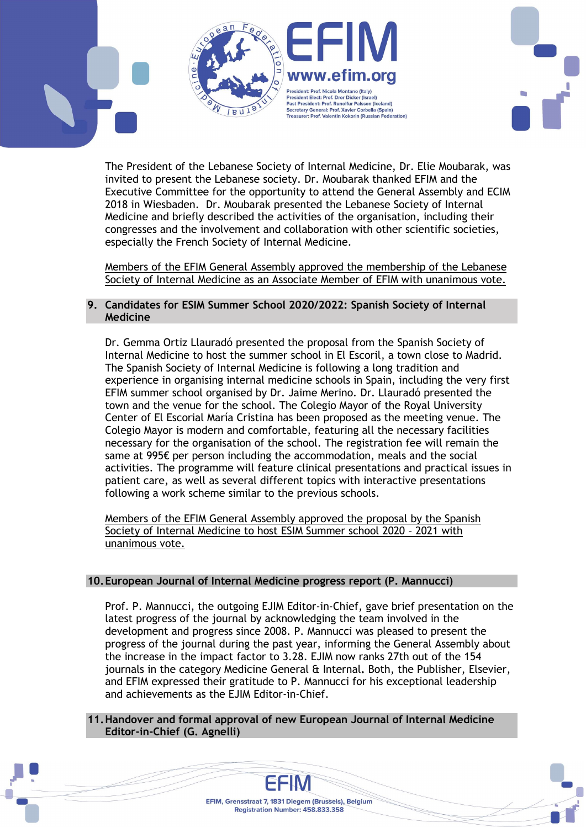

The President of the Lebanese Society of Internal Medicine, Dr. Elie Moubarak, was invited to present the Lebanese society. Dr. Moubarak thanked EFIM and the Executive Committee for the opportunity to attend the General Assembly and ECIM 2018 in Wiesbaden. Dr. Moubarak presented the Lebanese Society of Internal Medicine and briefly described the activities of the organisation, including their congresses and the involvement and collaboration with other scientific societies, especially the French Society of Internal Medicine.

Members of the EFIM General Assembly approved the membership of the Lebanese Society of Internal Medicine as an Associate Member of EFIM with unanimous vote.

## 9. Candidates for ESIM Summer School 2020/2022: Spanish Society of Internal Medicine

Dr. Gemma Ortiz Llauradó presented the proposal from the Spanish Society of Internal Medicine to host the summer school in El Escoril, a town close to Madrid. The Spanish Society of Internal Medicine is following a long tradition and experience in organising internal medicine schools in Spain, including the very first EFIM summer school organised by Dr. Jaime Merino. Dr. Llauradó presented the town and the venue for the school. The Colegio Mayor of the Royal University Center of El Escorial María Cristina has been proposed as the meeting venue. The Colegio Mayor is modern and comfortable, featuring all the necessary facilities necessary for the organisation of the school. The registration fee will remain the same at 995€ per person including the accommodation, meals and the social activities. The programme will feature clinical presentations and practical issues in patient care, as well as several different topics with interactive presentations following a work scheme similar to the previous schools.

Members of the EFIM General Assembly approved the proposal by the Spanish Society of Internal Medicine to host ESIM Summer school 2020 – 2021 with unanimous vote.

## 10.European Journal of Internal Medicine progress report (P. Mannucci)

Prof. P. Mannucci, the outgoing EJIM Editor-in-Chief, gave brief presentation on the latest progress of the journal by acknowledging the team involved in the development and progress since 2008. P. Mannucci was pleased to present the progress of the journal during the past year, informing the General Assembly about the increase in the impact factor to 3.28. EJIM now ranks 27th out of the 154 journals in the category Medicine General & Internal. Both, the Publisher, Elsevier, and EFIM expressed their gratitude to P. Mannucci for his exceptional leadership and achievements as the EJIM Editor-in-Chief.

11.Handover and formal approval of new European Journal of Internal Medicine Editor-in-Chief (G. Agnelli)

> EFIM, Grensstraat 7, 1831 Diegem (Brussels), Belgium Registration Number: 458.833.358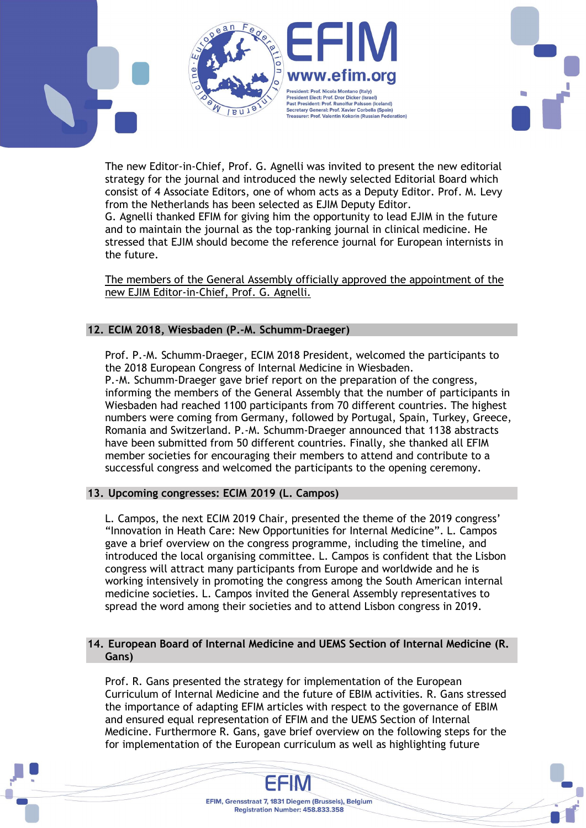

The new Editor-in-Chief, Prof. G. Agnelli was invited to present the new editorial strategy for the journal and introduced the newly selected Editorial Board which consist of 4 Associate Editors, one of whom acts as a Deputy Editor. Prof. M. Levy from the Netherlands has been selected as EJIM Deputy Editor. G. Agnelli thanked EFIM for giving him the opportunity to lead EJIM in the future and to maintain the journal as the top-ranking journal in clinical medicine. He stressed that EJIM should become the reference journal for European internists in the future.

The members of the General Assembly officially approved the appointment of the new EJIM Editor-in-Chief, Prof. G. Agnelli.

## 12. ECIM 2018, Wiesbaden (P.-M. Schumm-Draeger)

Prof. P.-M. Schumm-Draeger, ECIM 2018 President, welcomed the participants to the 2018 European Congress of Internal Medicine in Wiesbaden. P.-M. Schumm-Draeger gave brief report on the preparation of the congress, informing the members of the General Assembly that the number of participants in Wiesbaden had reached 1100 participants from 70 different countries. The highest numbers were coming from Germany, followed by Portugal, Spain, Turkey, Greece, Romania and Switzerland. P.-M. Schumm-Draeger announced that 1138 abstracts have been submitted from 50 different countries. Finally, she thanked all EFIM member societies for encouraging their members to attend and contribute to a successful congress and welcomed the participants to the opening ceremony.

## 13. Upcoming congresses: ECIM 2019 (L. Campos)

L. Campos, the next ECIM 2019 Chair, presented the theme of the 2019 congress' "Innovation in Heath Care: New Opportunities for Internal Medicine". L. Campos gave a brief overview on the congress programme, including the timeline, and introduced the local organising committee. L. Campos is confident that the Lisbon congress will attract many participants from Europe and worldwide and he is working intensively in promoting the congress among the South American internal medicine societies. L. Campos invited the General Assembly representatives to spread the word among their societies and to attend Lisbon congress in 2019.

### 14. European Board of Internal Medicine and UEMS Section of Internal Medicine (R. Gans)

Prof. R. Gans presented the strategy for implementation of the European Curriculum of Internal Medicine and the future of EBIM activities. R. Gans stressed the importance of adapting EFIM articles with respect to the governance of EBIM and ensured equal representation of EFIM and the UEMS Section of Internal Medicine. Furthermore R. Gans, gave brief overview on the following steps for the for implementation of the European curriculum as well as highlighting future

> EFIM, Grensstraat 7, 1831 Diegem (Brussels), Belgium Registration Number: 458.833.358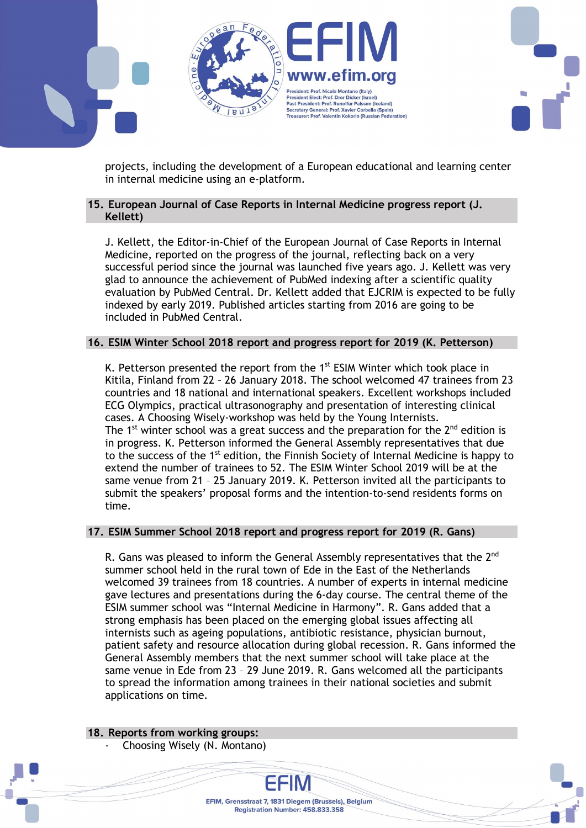

projects, including the development of a European educational and learning center in internal medicine using an e-platform.

## 15. European Journal of Case Reports in Internal Medicine progress report (J. Kellett)

J. Kellett, the Editor-in-Chief of the European Journal of Case Reports in Internal Medicine, reported on the progress of the journal, reflecting back on a very successful period since the journal was launched five years ago. J. Kellett was very glad to announce the achievement of PubMed indexing after a scientific quality evaluation by PubMed Central. Dr. Kellett added that EJCRIM is expected to be fully indexed by early 2019. Published articles starting from 2016 are going to be included in PubMed Central.

## 16. ESIM Winter School 2018 report and progress report for 2019 (K. Petterson)

K. Petterson presented the report from the  $1<sup>st</sup>$  ESIM Winter which took place in Kitila, Finland from 22 – 26 January 2018. The school welcomed 47 trainees from 23 countries and 18 national and international speakers. Excellent workshops included ECG Olympics, practical ultrasonography and presentation of interesting clinical cases. A Choosing Wisely-workshop was held by the Young Internists. The 1<sup>st</sup> winter school was a great success and the preparation for the  $2^{nd}$  edition is in progress. K. Petterson informed the General Assembly representatives that due to the success of the 1<sup>st</sup> edition, the Finnish Society of Internal Medicine is happy to extend the number of trainees to 52. The ESIM Winter School 2019 will be at the same venue from 21 – 25 January 2019. K. Petterson invited all the participants to submit the speakers' proposal forms and the intention-to-send residents forms on time.

#### 17. ESIM Summer School 2018 report and progress report for 2019 (R. Gans)

R. Gans was pleased to inform the General Assembly representatives that the  $2^{nd}$ summer school held in the rural town of Ede in the East of the Netherlands welcomed 39 trainees from 18 countries. A number of experts in internal medicine gave lectures and presentations during the 6-day course. The central theme of the ESIM summer school was "Internal Medicine in Harmony". R. Gans added that a strong emphasis has been placed on the emerging global issues affecting all internists such as ageing populations, antibiotic resistance, physician burnout, patient safety and resource allocation during global recession. R. Gans informed the General Assembly members that the next summer school will take place at the same venue in Ede from 23 – 29 June 2019. R. Gans welcomed all the participants to spread the information among trainees in their national societies and submit applications on time.

> EFIM, Grensstraat 7, 1831 Diegem (Brussels), Belgium Registration Number: 458.833.358

18. Reports from working groups:

Choosing Wisely (N. Montano)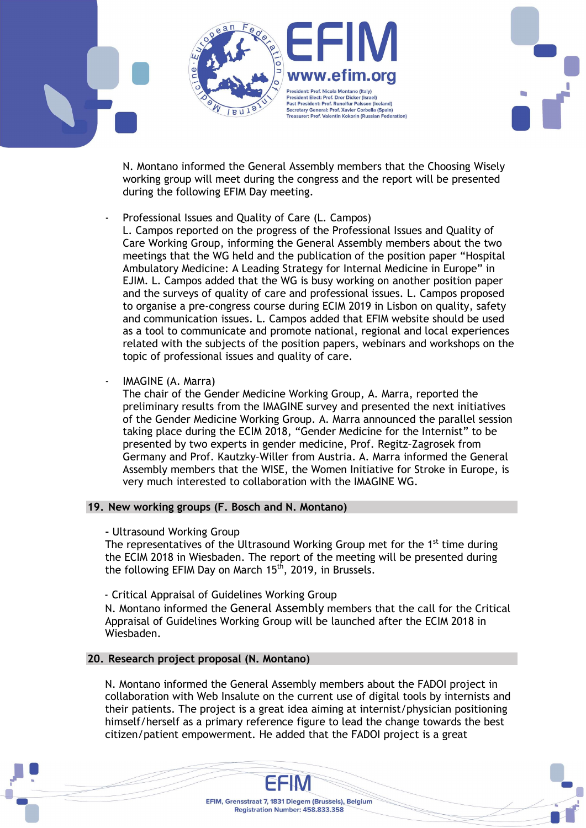President: Prof. Nicola Montano (Italy) **President Elect: Prof. Dror Dicker (Israel) Past President: Prof. Runolfur Palsson (Iceland)** ast President Premiuman Palesen (resumit)<br>Secretary General: Prof. Xavier Corbella (Spain)<br>Treasurer: Prof. Valentin Kokorin (Russian Federation)

N. Montano informed the General Assembly members that the Choosing Wisely working group will meet during the congress and the report will be presented during the following EFIM Day meeting.

Professional Issues and Quality of Care (L. Campos)

L. Campos reported on the progress of the Professional Issues and Quality of Care Working Group, informing the General Assembly members about the two meetings that the WG held and the publication of the position paper "Hospital Ambulatory Medicine: A Leading Strategy for Internal Medicine in Europe" in EJIM. L. Campos added that the WG is busy working on another position paper and the surveys of quality of care and professional issues. L. Campos proposed to organise a pre-congress course during ECIM 2019 in Lisbon on quality, safety and communication issues. L. Campos added that EFIM website should be used as a tool to communicate and promote national, regional and local experiences related with the subjects of the position papers, webinars and workshops on the topic of professional issues and quality of care.

IMAGINE (A. Marra)

The chair of the Gender Medicine Working Group, A. Marra, reported the preliminary results from the IMAGINE survey and presented the next initiatives of the Gender Medicine Working Group. A. Marra announced the parallel session taking place during the ECIM 2018, "Gender Medicine for the Internist" to be presented by two experts in gender medicine, Prof. Regitz–Zagrosek from Germany and Prof. Kautzky–Willer from Austria. A. Marra informed the General Assembly members that the WISE, the Women Initiative for Stroke in Europe, is very much interested to collaboration with the IMAGINE WG.

## 19. New working groups (F. Bosch and N. Montano)

- Ultrasound Working Group

The representatives of the Ultrasound Working Group met for the  $1<sup>st</sup>$  time during the ECIM 2018 in Wiesbaden. The report of the meeting will be presented during the following EFIM Day on March 15<sup>th</sup>, 2019, in Brussels.

- Critical Appraisal of Guidelines Working Group

N. Montano informed the General Assembly members that the call for the Critical Appraisal of Guidelines Working Group will be launched after the ECIM 2018 in Wiesbaden.

## 20. Research project proposal (N. Montano)

N. Montano informed the General Assembly members about the FADOI project in collaboration with Web Insalute on the current use of digital tools by internists and their patients. The project is a great idea aiming at internist/physician positioning himself/herself as a primary reference figure to lead the change towards the best citizen/patient empowerment. He added that the FADOI project is a great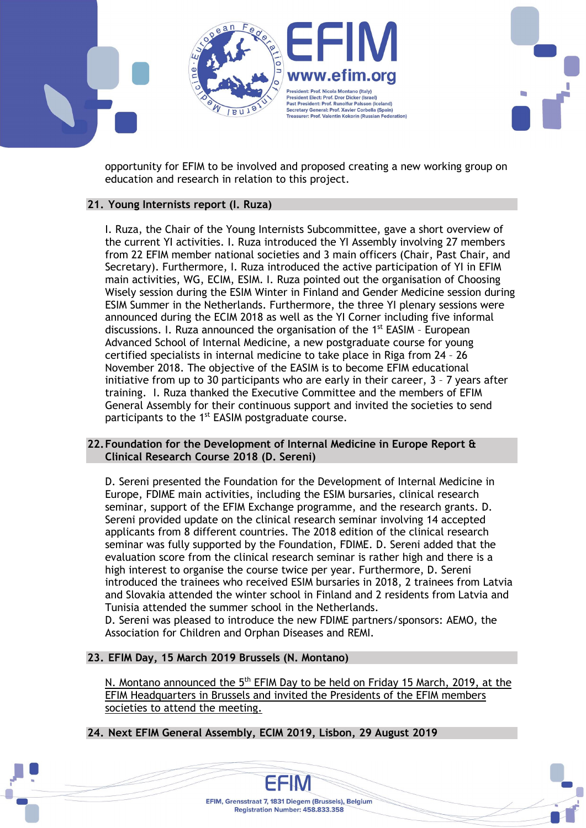

opportunity for EFIM to be involved and proposed creating a new working group on education and research in relation to this project.

## 21. Young Internists report (I. Ruza)

I. Ruza, the Chair of the Young Internists Subcommittee, gave a short overview of the current YI activities. I. Ruza introduced the YI Assembly involving 27 members from 22 EFIM member national societies and 3 main officers (Chair, Past Chair, and Secretary). Furthermore, I. Ruza introduced the active participation of YI in EFIM main activities, WG, ECIM, ESIM. I. Ruza pointed out the organisation of Choosing Wisely session during the ESIM Winter in Finland and Gender Medicine session during ESIM Summer in the Netherlands. Furthermore, the three YI plenary sessions were announced during the ECIM 2018 as well as the YI Corner including five informal discussions. I. Ruza announced the organisation of the  $1<sup>st</sup>$  EASIM - European Advanced School of Internal Medicine, a new postgraduate course for young certified specialists in internal medicine to take place in Riga from 24 – 26 November 2018. The objective of the EASIM is to become EFIM educational initiative from up to 30 participants who are early in their career, 3 – 7 years after training. I. Ruza thanked the Executive Committee and the members of EFIM General Assembly for their continuous support and invited the societies to send participants to the 1<sup>st</sup> EASIM postgraduate course.

### 22.Foundation for the Development of Internal Medicine in Europe Report & Clinical Research Course 2018 (D. Sereni)

D. Sereni presented the Foundation for the Development of Internal Medicine in Europe, FDIME main activities, including the ESIM bursaries, clinical research seminar, support of the EFIM Exchange programme, and the research grants. D. Sereni provided update on the clinical research seminar involving 14 accepted applicants from 8 different countries. The 2018 edition of the clinical research seminar was fully supported by the Foundation, FDIME. D. Sereni added that the evaluation score from the clinical research seminar is rather high and there is a high interest to organise the course twice per year. Furthermore, D. Sereni introduced the trainees who received ESIM bursaries in 2018, 2 trainees from Latvia and Slovakia attended the winter school in Finland and 2 residents from Latvia and Tunisia attended the summer school in the Netherlands.

D. Sereni was pleased to introduce the new FDIME partners/sponsors: AEMO, the Association for Children and Orphan Diseases and REMI.

## 23. EFIM Day, 15 March 2019 Brussels (N. Montano)

N. Montano announced the 5<sup>th</sup> EFIM Day to be held on Friday 15 March, 2019, at the EFIM Headquarters in Brussels and invited the Presidents of the EFIM members societies to attend the meeting.

24. Next EFIM General Assembly, ECIM 2019, Lisbon, 29 August 2019